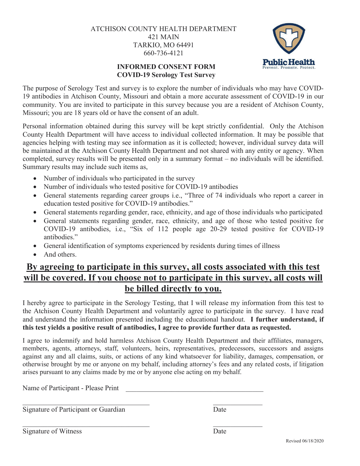ATCHISON COUNTY HEALTH DEPARTMENT 421 MAIN TARKIO, MO 64491 660-736-4121



## **INFORMED CONSENT FORM COVID-19 Serology Test Survey**

The purpose of Serology Test and survey is to explore the number of individuals who may have COVID-19 antibodies in Atchison County, Missouri and obtain a more accurate assessment of COVID-19 in our community. You are invited to participate in this survey because you are a resident of Atchison County, Missouri; you are 18 years old or have the consent of an adult.

Personal information obtained during this survey will be kept strictly confidential. Only the Atchison County Health Department will have access to individual collected information. It may be possible that agencies helping with testing may see information as it is collected; however, individual survey data will be maintained at the Atchison County Health Department and not shared with any entity or agency. When completed, survey results will be presented only in a summary format – no individuals will be identified. Summary results may include such items as,

- Number of individuals who participated in the survey
- Number of individuals who tested positive for COVID-19 antibodies
- General statements regarding career groups i.e., "Three of 74 individuals who report a career in education tested positive for COVID-19 antibodies."
- General statements regarding gender, race, ethnicity, and age of those individuals who participated
- General statements regarding gender, race, ethnicity, and age of those who tested positive for COVID-19 antibodies, i.e., "Six of 112 people age 20-29 tested positive for COVID-19 antibodies."
- General identification of symptoms experienced by residents during times of illness
- And others.

## **By agreeing to participate in this survey, all costs associated with this test will be covered. If you choose not to participate in this survey, all costs will be billed directly to you.**

I hereby agree to participate in the Serology Testing, that I will release my information from this test to the Atchison County Health Department and voluntarily agree to participate in the survey. I have read and understand the information presented including the educational handout. **I further understand, if this test yields a positive result of antibodies, I agree to provide further data as requested.**

I agree to indemnify and hold harmless Atchison County Health Department and their affiliates, managers, members, agents, attorneys, staff, volunteers, heirs, representatives, predecessors, successors and assigns against any and all claims, suits, or actions of any kind whatsoever for liability, damages, compensation, or otherwise brought by me or anyone on my behalf, including attorney's fees and any related costs, if litigation arises pursuant to any claims made by me or by anyone else acting on my behalf.

 $\_$  , and the contribution of the contribution of  $\mathcal{L}_\mathbf{z}$ 

 $\_$  , and the contribution of the contribution of  $\mathcal{L}_\mathbf{z}$ 

Name of Participant - Please Print

Signature of Participant or Guardian Date

Signature of Witness Date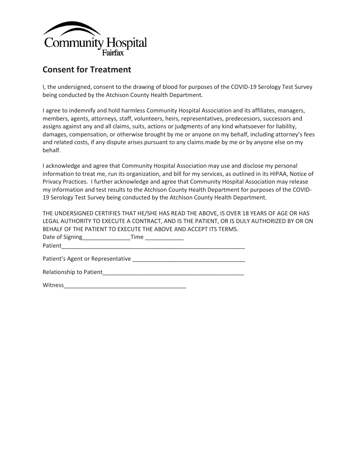

## **Consent for Treatment**

I, the undersigned, consent to the drawing of blood for purposes of the COVID-19 Serology Test Survey being conducted by the Atchison County Health Department.

I agree to indemnify and hold harmless Community Hospital Association and its affiliates, managers, members, agents, attorneys, staff, volunteers, heirs, representatives, predecessors, successors and assigns against any and all claims, suits, actions or judgments of any kind whatsoever for liability, damages, compensation, or otherwise brought by me or anyone on my behalf, including attorney's fees and related costs, if any dispute arises pursuant to any claims made by me or by anyone else on my behalf.

I acknowledge and agree that Community Hospital Association may use and disclose my personal information to treat me, run its organization, and bill for my services, as outlined in its HIPAA, Notice of Privacy Practices. I further acknowledge and agree that Community Hospital Association may release my information and test results to the Atchison County Health Department for purposes of the COVID-19 Serology Test Survey being conducted by the Atchison County Health Department.

| THE UNDERSIGNED CERTIFIES THAT HE/SHE HAS READ THE ABOVE, IS OVER 18 YEARS OF AGE OR HAS  |
|-------------------------------------------------------------------------------------------|
| LEGAL AUTHORITY TO EXECUTE A CONTRACT, AND IS THE PATIENT, OR IS DULY AUTHORIZED BY OR ON |
| BEHALF OF THE PATIENT TO EXECUTE THE ABOVE AND ACCEPT ITS TERMS.                          |
| Date of Signing____________________Time ______________                                    |
|                                                                                           |
|                                                                                           |
|                                                                                           |
| Witness                                                                                   |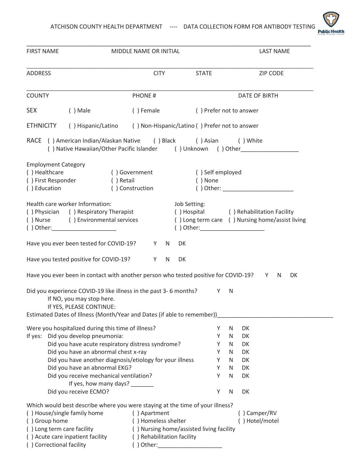

| <b>FIRST NAME</b>                                                                 |                                                                                                                           | MIDDLE NAME OR INITIAL     |                                                                                              |                         | <b>LAST NAME</b>                                |  |  |
|-----------------------------------------------------------------------------------|---------------------------------------------------------------------------------------------------------------------------|----------------------------|----------------------------------------------------------------------------------------------|-------------------------|-------------------------------------------------|--|--|
| <b>ADDRESS</b>                                                                    |                                                                                                                           | <b>CITY</b>                | <b>STATE</b>                                                                                 |                         | <b>ZIP CODE</b>                                 |  |  |
| <b>COUNTY</b>                                                                     |                                                                                                                           | <b>PHONE#</b>              |                                                                                              |                         | <b>DATE OF BIRTH</b>                            |  |  |
| <b>SEX</b><br>$( )$ Male                                                          |                                                                                                                           | () Female                  |                                                                                              | () Prefer not to answer |                                                 |  |  |
| <b>ETHNICITY</b>                                                                  | () Hispanic/Latino () Non-Hispanic/Latino () Prefer not to answer                                                         |                            |                                                                                              |                         |                                                 |  |  |
|                                                                                   | RACE () American Indian/Alaskan Native () Black () Asian<br>() Native Hawaiian/Other Pacific Islander () Unknown () Other |                            |                                                                                              | () White                |                                                 |  |  |
| <b>Employment Category</b><br>() Healthcare<br>() First Responder<br>() Education | () Government<br>() Retail<br>() Construction                                                                             |                            | () Self employed<br>() None                                                                  |                         |                                                 |  |  |
| Health care worker Information:<br>() Physician () Respiratory Therapist          | () Nurse () Environmental services                                                                                        |                            | Job Setting:<br>() Hospital () Rehabilitation Facility<br>() Other: ________________________ |                         | () Long term care () Nursing home/assist living |  |  |
|                                                                                   | Have you ever been tested for COVID-19?                                                                                   | Y<br>N.                    | DK                                                                                           |                         |                                                 |  |  |
|                                                                                   | Have you tested positive for COVID-19?                                                                                    | Y<br>N                     | DK                                                                                           |                         |                                                 |  |  |
|                                                                                   | Have you ever been in contact with another person who tested positive for COVID-19? Y                                     |                            |                                                                                              |                         | N<br>DK                                         |  |  |
|                                                                                   | Did you experience COVID-19 like illness in the past 3-6 months?<br>If NO, you may stop here.<br>If YES, PLEASE CONTINUE: |                            | Y                                                                                            | <sup>N</sup>            |                                                 |  |  |
|                                                                                   | Estimated Dates of Illness (Month/Year and Dates (if able to remember))                                                   |                            |                                                                                              |                         |                                                 |  |  |
|                                                                                   | Were you hospitalized during this time of illness?                                                                        |                            | Υ                                                                                            | N<br>DK                 |                                                 |  |  |
| If yes: Did you develop pneumonia:                                                |                                                                                                                           |                            | Y                                                                                            | DK<br>N                 |                                                 |  |  |
|                                                                                   | Did you have acute respiratory distress syndrome?<br>Did you have an abnormal chest x-ray                                 |                            | Y<br>Y                                                                                       | DK<br>N<br>DK<br>N      |                                                 |  |  |
|                                                                                   | Did you have another diagnosis/etiology for your illness                                                                  |                            | Υ                                                                                            | DK<br>N                 |                                                 |  |  |
|                                                                                   | Did you have an abnormal EKG?                                                                                             |                            | Υ                                                                                            | DK<br>N                 |                                                 |  |  |
|                                                                                   | Did you receive mechanical ventilation?                                                                                   |                            | Y                                                                                            | $\mathsf{N}$<br>DK      |                                                 |  |  |
|                                                                                   | If yes, how many days? _______                                                                                            |                            |                                                                                              |                         |                                                 |  |  |
| Did you receive ECMO?                                                             |                                                                                                                           |                            | Υ                                                                                            | DK<br>N                 |                                                 |  |  |
|                                                                                   | Which would best describe where you were staying at the time of your illness?                                             |                            |                                                                                              |                         |                                                 |  |  |
| () House/single family home                                                       |                                                                                                                           | () Apartment               |                                                                                              | () Camper/RV            |                                                 |  |  |
| () Group home                                                                     |                                                                                                                           | () Homeless shelter        |                                                                                              |                         | () Hotel/motel                                  |  |  |
| () Long term care facility                                                        |                                                                                                                           |                            | () Nursing home/assisted living facility                                                     |                         |                                                 |  |  |
| () Acute care inpatient facility                                                  |                                                                                                                           | () Rehabilitation facility |                                                                                              |                         |                                                 |  |  |
| () Correctional facility                                                          |                                                                                                                           | $( )$ Other:               |                                                                                              |                         |                                                 |  |  |
|                                                                                   |                                                                                                                           |                            |                                                                                              |                         |                                                 |  |  |